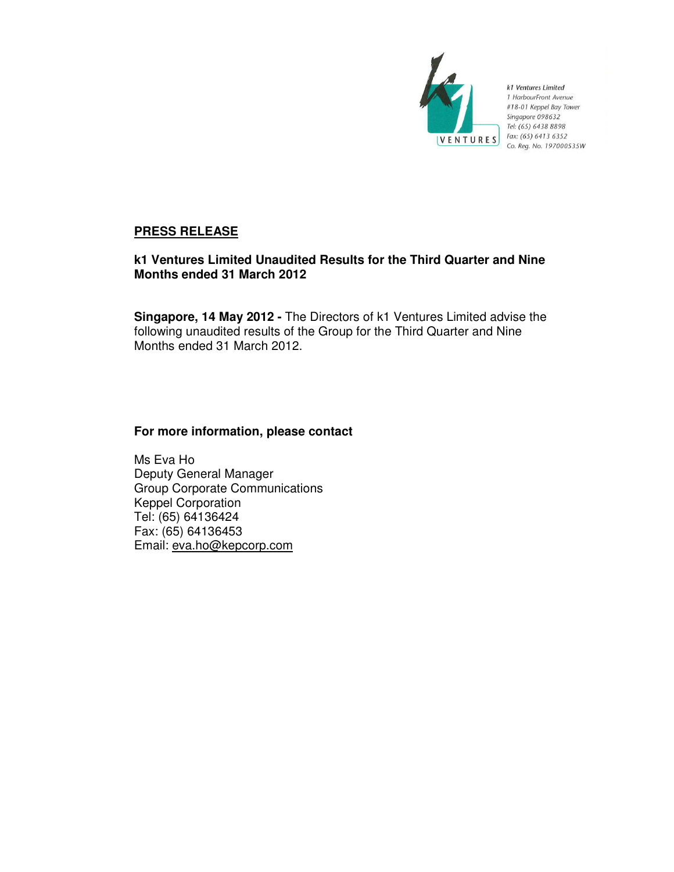

k1 Ventures Limited 1 HarbourFront Avenue #18-01 Keppel Bay Tower Singapore 098632 Tel: (65) 6438 8898 Fax: (65) 6413 6352 Co. Reg. No. 197000535W

# **PRESS RELEASE**

# **k1 Ventures Limited Unaudited Results for the Third Quarter and Nine Months ended 31 March 2012**

**Singapore, 14 May 2012 -** The Directors of k1 Ventures Limited advise the following unaudited results of the Group for the Third Quarter and Nine Months ended 31 March 2012.

# **For more information, please contact**

Ms Eva Ho Deputy General Manager Group Corporate Communications Keppel Corporation Tel: (65) 64136424 Fax: (65) 64136453 Email: eva.ho@kepcorp.com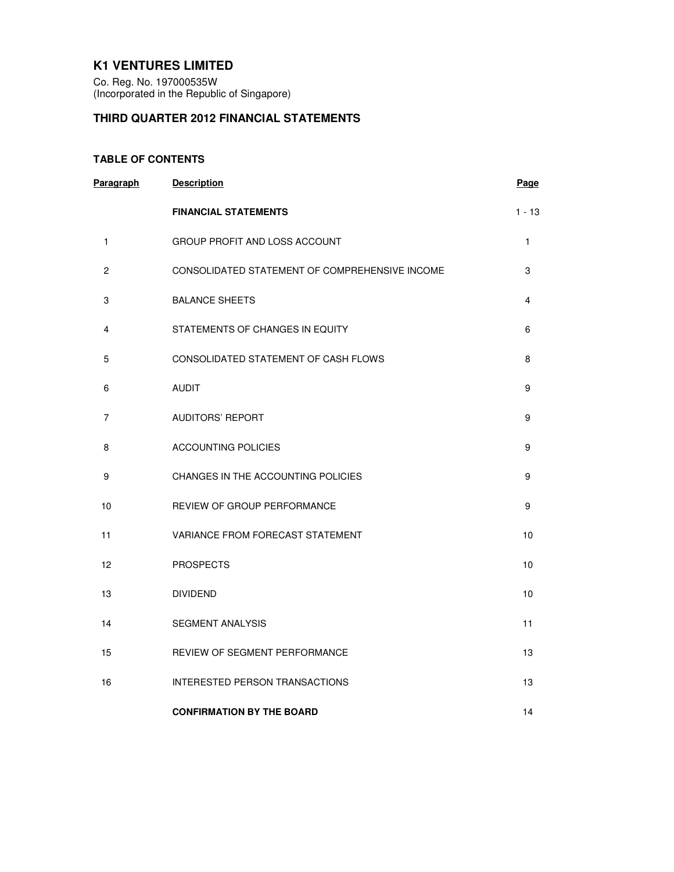## **K1 VENTURES LIMITED**

Co. Reg. No. 197000535W (Incorporated in the Republic of Singapore)

# **THIRD QUARTER 2012 FINANCIAL STATEMENTS**

## **TABLE OF CONTENTS**

| Paragraph      | <b>Description</b>                             | Page     |
|----------------|------------------------------------------------|----------|
|                | <b>FINANCIAL STATEMENTS</b>                    | $1 - 13$ |
| 1              | GROUP PROFIT AND LOSS ACCOUNT                  | 1        |
| $\overline{c}$ | CONSOLIDATED STATEMENT OF COMPREHENSIVE INCOME | 3        |
| 3              | <b>BALANCE SHEETS</b>                          | 4        |
| 4              | STATEMENTS OF CHANGES IN EQUITY                | 6        |
| 5              | CONSOLIDATED STATEMENT OF CASH FLOWS           | 8        |
| 6              | <b>AUDIT</b>                                   | 9        |
| 7              | <b>AUDITORS' REPORT</b>                        | 9        |
| 8              | <b>ACCOUNTING POLICIES</b>                     | 9        |
| 9              | CHANGES IN THE ACCOUNTING POLICIES             | 9        |
| 10             | REVIEW OF GROUP PERFORMANCE                    | 9        |
| 11             | VARIANCE FROM FORECAST STATEMENT               | 10       |
| 12             | <b>PROSPECTS</b>                               | 10       |
| 13             | <b>DIVIDEND</b>                                | 10       |
| 14             | <b>SEGMENT ANALYSIS</b>                        | 11       |
| 15             | REVIEW OF SEGMENT PERFORMANCE                  | 13       |
| 16             | INTERESTED PERSON TRANSACTIONS                 | 13       |
|                | <b>CONFIRMATION BY THE BOARD</b>               | 14       |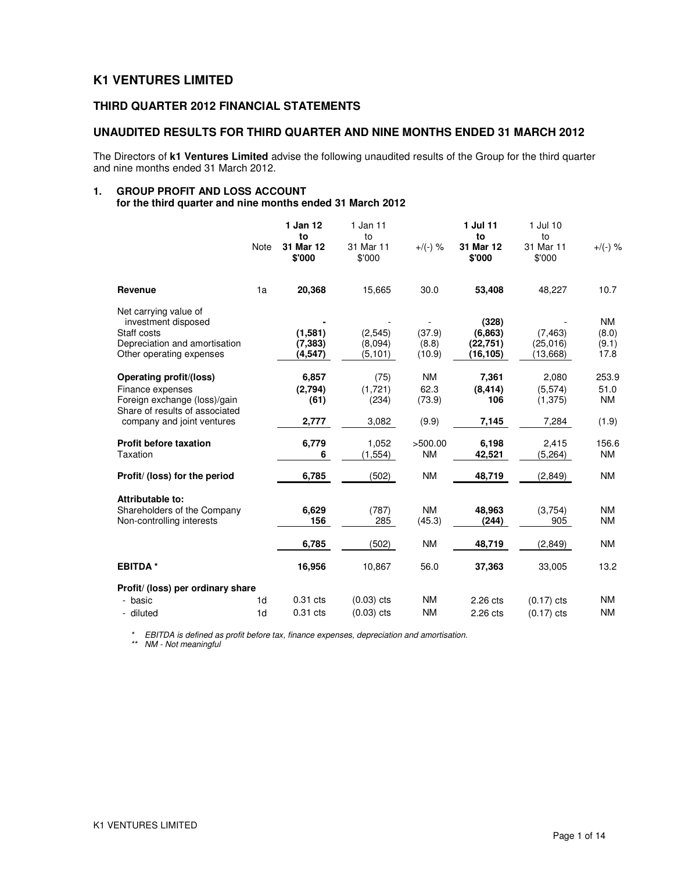## **K1 VENTURES LIMITED**

## **THIRD QUARTER 2012 FINANCIAL STATEMENTS**

## **UNAUDITED RESULTS FOR THIRD QUARTER AND NINE MONTHS ENDED 31 MARCH 2012**

The Directors of **k1 Ventures Limited** advise the following unaudited results of the Group for the third quarter and nine months ended 31 March 2012.

# **1. GROUP PROFIT AND LOSS ACCOUNT**

**for the third quarter and nine months ended 31 March 2012** 

|                                                                                                                          |                      | 1 Jan 12                       | 1 Jan 11                       |                             | 1 Jul 11                                   | 1 Jul 10                         |                                     |
|--------------------------------------------------------------------------------------------------------------------------|----------------------|--------------------------------|--------------------------------|-----------------------------|--------------------------------------------|----------------------------------|-------------------------------------|
|                                                                                                                          | Note                 | to<br>31 Mar 12<br>\$'000      | to<br>31 Mar 11<br>\$'000      | $+/(-)$ %                   | to<br>31 Mar 12<br>\$'000                  | to<br>31 Mar 11<br>\$'000        | $+$ /(-) %                          |
| Revenue                                                                                                                  | 1a                   | 20,368                         | 15,665                         | 30.0                        | 53,408                                     | 48,227                           | 10.7                                |
| Net carrying value of<br>investment disposed<br>Staff costs<br>Depreciation and amortisation<br>Other operating expenses |                      | (1,581)<br>(7, 383)<br>(4,547) | (2, 545)<br>(8,094)<br>(5,101) | (37.9)<br>(8.8)<br>(10.9)   | (328)<br>(6, 863)<br>(22, 751)<br>(16,105) | (7, 463)<br>(25.016)<br>(13,668) | <b>NM</b><br>(8.0)<br>(9.1)<br>17.8 |
| Operating profit/(loss)<br>Finance expenses<br>Foreign exchange (loss)/gain<br>Share of results of associated            |                      | 6,857<br>(2,794)<br>(61)       | (75)<br>(1, 721)<br>(234)      | <b>NM</b><br>62.3<br>(73.9) | 7,361<br>(8, 414)<br>106                   | 2,080<br>(5, 574)<br>(1, 375)    | 253.9<br>51.0<br><b>NM</b>          |
| company and joint ventures<br><b>Profit before taxation</b>                                                              |                      | 2,777<br>6,779                 | 3,082<br>1,052                 | (9.9)<br>>500.00            | 7,145<br>6,198                             | 7,284<br>2,415                   | (1.9)<br>156.6                      |
| Taxation<br>Profit/ (loss) for the period                                                                                |                      | 6<br>6,785                     | (1, 554)<br>(502)              | <b>NM</b><br><b>NM</b>      | 42,521<br>48,719                           | (5, 264)<br>(2,849)              | <b>NM</b><br><b>NM</b>              |
| Attributable to:<br>Shareholders of the Company<br>Non-controlling interests                                             |                      | 6,629<br>156                   | (787)<br>285                   | <b>NM</b><br>(45.3)         | 48.963<br>(244)                            | (3.754)<br>905                   | <b>NM</b><br><b>NM</b>              |
|                                                                                                                          |                      | 6,785                          | (502)                          | <b>NM</b>                   | 48,719                                     | (2,849)                          | <b>NM</b>                           |
| <b>EBITDA*</b>                                                                                                           |                      | 16,956                         | 10.867                         | 56.0                        | 37,363                                     | 33.005                           | 13.2                                |
| Profit/ (loss) per ordinary share                                                                                        |                      |                                |                                |                             |                                            |                                  |                                     |
| - basic<br>- diluted                                                                                                     | 1d<br>1 <sub>d</sub> | $0.31$ cts<br>0.31 cts         | $(0.03)$ cts<br>$(0.03)$ cts   | <b>NM</b><br><b>NM</b>      | 2.26 cts<br>2.26 cts                       | $(0.17)$ cts<br>$(0.17)$ cts     | <b>NM</b><br><b>NM</b>              |

\* EBITDA is defined as profit before tax, finance expenses, depreciation and amortisation.

\*\* NM - Not meaningful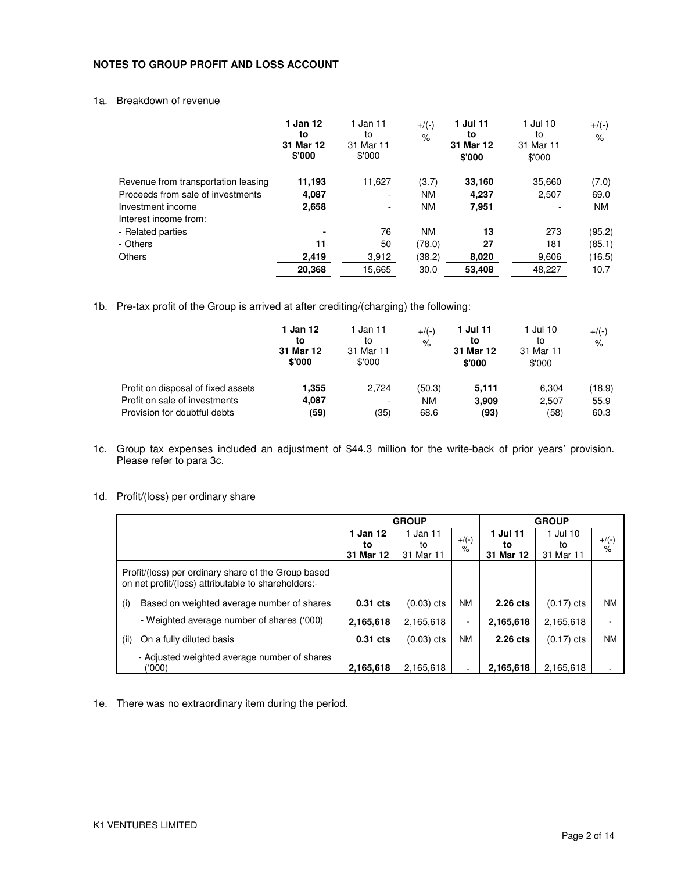## **NOTES TO GROUP PROFIT AND LOSS ACCOUNT**

### 1a. Breakdown of revenue

|                                     | 1 Jan 12<br>to<br>31 Mar 12<br>\$'000 | 1 Jan 11<br>to<br>31 Mar 11<br>\$'000 | $+/(-)$<br>$\%$ | 1 Jul 11<br>to<br>31 Mar 12<br>\$'000 | 1 Jul 10<br>to<br>31 Mar 11<br>\$'000 | $+$ /(-)<br>$\%$ |
|-------------------------------------|---------------------------------------|---------------------------------------|-----------------|---------------------------------------|---------------------------------------|------------------|
| Revenue from transportation leasing | 11,193                                | 11,627                                | (3.7)           | 33,160                                | 35,660                                | (7.0)            |
| Proceeds from sale of investments   | 4,087                                 | ۰                                     | <b>NM</b>       | 4.237                                 | 2,507                                 | 69.0             |
| Investment income                   | 2,658                                 | ۰                                     | <b>NM</b>       | 7,951                                 | ٠                                     | <b>NM</b>        |
| Interest income from:               |                                       |                                       |                 |                                       |                                       |                  |
| - Related parties                   | ۰                                     | 76                                    | <b>NM</b>       | 13                                    | 273                                   | (95.2)           |
| - Others                            | 11                                    | 50                                    | (78.0)          | 27                                    | 181                                   | (85.1)           |
| <b>Others</b>                       | 2.419                                 | 3,912                                 | (38.2)          | 8,020                                 | 9,606                                 | (16.5)           |
|                                     | 20,368                                | 15.665                                | 30.0            | 53,408                                | 48.227                                | 10.7             |

1b. Pre-tax profit of the Group is arrived at after crediting/(charging) the following:

|                                    | 1 Jan 12<br>to<br>31 Mar 12<br>\$'000 | Jan 11<br>to<br>31 Mar 11<br>\$'000 | $+$ /(-)<br>$\frac{1}{\sqrt{2}}$ | 1 Jul 11<br>to<br>31 Mar 12<br>\$'000 | 1 Jul 10<br>to<br>31 Mar 11<br>\$'000 | $+$ /(-)<br>$\%$ |
|------------------------------------|---------------------------------------|-------------------------------------|----------------------------------|---------------------------------------|---------------------------------------|------------------|
| Profit on disposal of fixed assets | 1.355                                 | 2.724                               | (50.3)                           | 5.111                                 | 6,304                                 | (18.9)           |
| Profit on sale of investments      | 4,087                                 | $\overline{\phantom{a}}$            | <b>NM</b>                        | 3.909                                 | 2,507                                 | 55.9             |
| Provision for doubtful debts       | (59)                                  | (35)                                | 68.6                             | (93)                                  | (58)                                  | 60.3             |

- 1c. Group tax expenses included an adjustment of \$44.3 million for the write-back of prior years' provision. Please refer to para 3c.
- 1d. Profit/(loss) per ordinary share

|                                                                                                            | <b>GROUP</b>                |                             |                          | <b>GROUP</b>                |                             |                           |
|------------------------------------------------------------------------------------------------------------|-----------------------------|-----------------------------|--------------------------|-----------------------------|-----------------------------|---------------------------|
|                                                                                                            | 1 Jan 12<br>to<br>31 Mar 12 | 1 Jan 11<br>to<br>31 Mar 11 | $+$ /(-)<br>%            | 1 Jul 11<br>to<br>31 Mar 12 | 1 Jul 10<br>to<br>31 Mar 11 | $+$ /(-)<br>$\frac{9}{6}$ |
| Profit/(loss) per ordinary share of the Group based<br>on net profit/(loss) attributable to shareholders:- |                             |                             |                          |                             |                             |                           |
| Based on weighted average number of shares<br>(i)                                                          | $0.31$ cts                  | $(0.03)$ cts                | <b>NM</b>                | 2.26 cts                    | $(0.17)$ cts                | ΝM                        |
| - Weighted average number of shares ('000)                                                                 | 2,165,618                   | 2,165,618                   | $\overline{\phantom{a}}$ | 2,165,618                   | 2,165,618                   | $\overline{\phantom{0}}$  |
| On a fully diluted basis<br>(ii)                                                                           | $0.31$ cts                  | $(0.03)$ cts                | <b>NM</b>                | 2.26 cts                    | $(0.17)$ cts                | <b>NM</b>                 |
| - Adjusted weighted average number of shares<br>(000)                                                      | 2.165.618                   | 2.165.618                   |                          | 2.165.618                   | 2.165.618                   |                           |

1e. There was no extraordinary item during the period.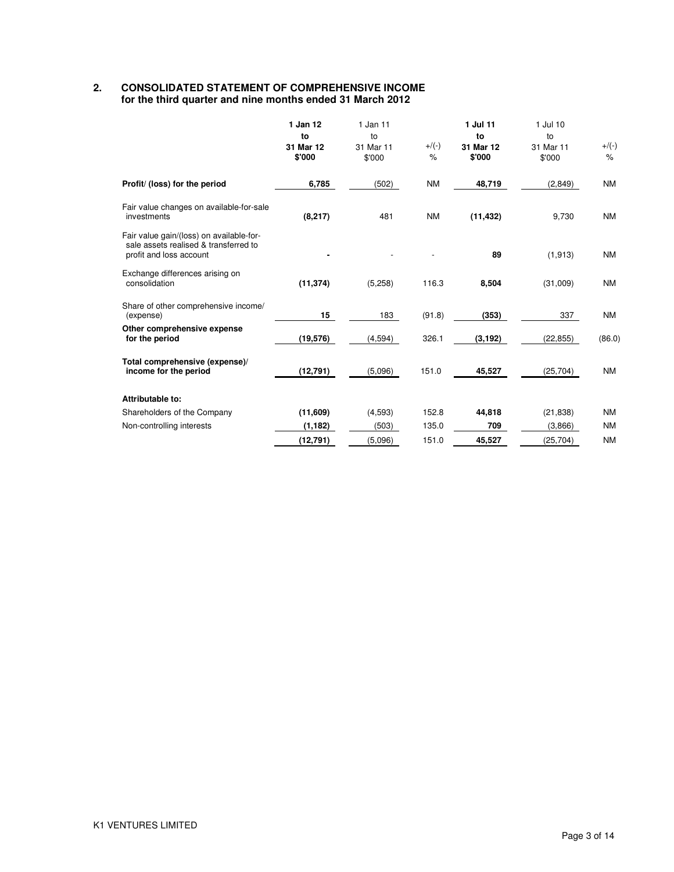## **2. CONSOLIDATED STATEMENT OF COMPREHENSIVE INCOME for the third quarter and nine months ended 31 March 2012**

|                                                                                                              | 1 Jan 12<br>to<br>31 Mar 12<br>\$'000 | 1 Jan 11<br>to<br>31 Mar 11<br>\$'000 | $+$ /(-)<br>$\%$ | 1 Jul 11<br>to<br>31 Mar 12<br>\$'000 | $1$ Jul $10$<br>to<br>31 Mar 11<br>\$'000 | $+$ /(-)<br>$\%$ |
|--------------------------------------------------------------------------------------------------------------|---------------------------------------|---------------------------------------|------------------|---------------------------------------|-------------------------------------------|------------------|
| Profit/ (loss) for the period                                                                                | 6,785                                 | (502)                                 | <b>NM</b>        | 48,719                                | (2,849)                                   | <b>NM</b>        |
| Fair value changes on available-for-sale<br>investments                                                      | (8, 217)                              | 481                                   | <b>NM</b>        | (11, 432)                             | 9,730                                     | <b>NM</b>        |
| Fair value gain/(loss) on available-for-<br>sale assets realised & transferred to<br>profit and loss account |                                       |                                       |                  | 89                                    | (1, 913)                                  | <b>NM</b>        |
| Exchange differences arising on<br>consolidation                                                             | (11, 374)                             | (5,258)                               | 116.3            | 8,504                                 | (31,009)                                  | <b>NM</b>        |
| Share of other comprehensive income/<br>(expense)                                                            | 15                                    | 183                                   | (91.8)           | (353)                                 | 337                                       | <b>NM</b>        |
| Other comprehensive expense<br>for the period                                                                | (19, 576)                             | (4,594)                               | 326.1            | (3, 192)                              | (22, 855)                                 | (86.0)           |
| Total comprehensive (expense)/<br>income for the period                                                      | (12, 791)                             | (5,096)                               | 151.0            | 45,527                                | (25, 704)                                 | <b>NM</b>        |
| Attributable to:                                                                                             |                                       |                                       |                  |                                       |                                           |                  |
| Shareholders of the Company                                                                                  | (11,609)                              | (4,593)                               | 152.8            | 44,818                                | (21, 838)                                 | <b>NM</b>        |
| Non-controlling interests                                                                                    | (1, 182)                              | (503)                                 | 135.0            | 709                                   | (3,866)                                   | <b>NM</b>        |
|                                                                                                              | (12, 791)                             | (5,096)                               | 151.0            | 45,527                                | (25, 704)                                 | <b>NM</b>        |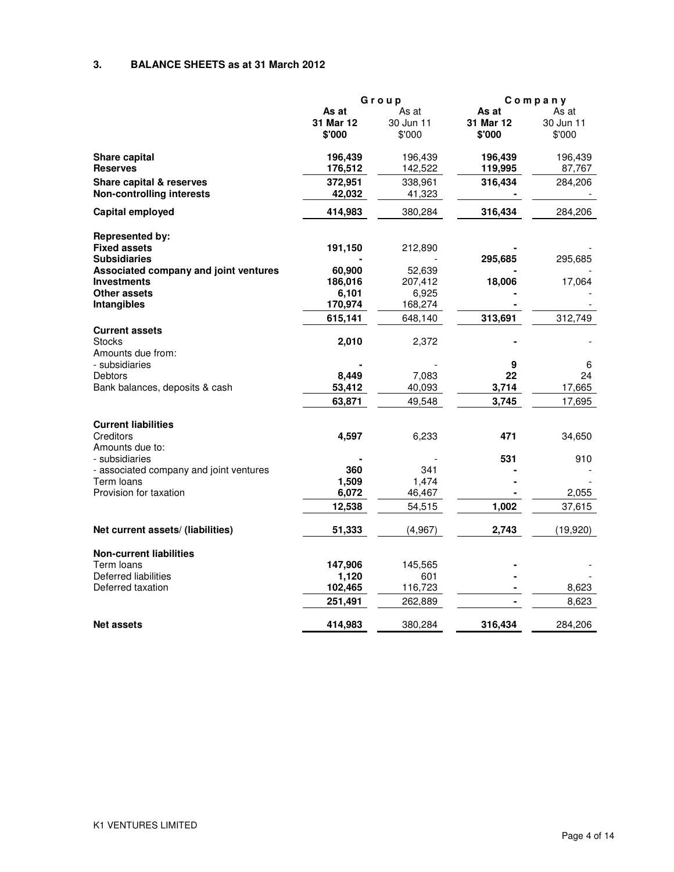## **3. BALANCE SHEETS as at 31 March 2012**

|                                         | Group     |           | Company   |           |
|-----------------------------------------|-----------|-----------|-----------|-----------|
|                                         | As at     | As at     | As at     | As at     |
|                                         | 31 Mar 12 | 30 Jun 11 | 31 Mar 12 | 30 Jun 11 |
|                                         | \$'000    | \$'000    | \$'000    | \$'000    |
| <b>Share capital</b>                    | 196,439   | 196,439   | 196,439   | 196,439   |
| <b>Reserves</b>                         | 176,512   | 142,522   | 119,995   | 87,767    |
| <b>Share capital &amp; reserves</b>     | 372,951   | 338,961   | 316,434   | 284,206   |
| <b>Non-controlling interests</b>        | 42.032    | 41,323    |           |           |
| <b>Capital employed</b>                 | 414,983   | 380,284   | 316,434   | 284,206   |
| <b>Represented by:</b>                  |           |           |           |           |
| <b>Fixed assets</b>                     | 191,150   | 212,890   |           |           |
| <b>Subsidiaries</b>                     |           |           | 295,685   | 295,685   |
| Associated company and joint ventures   | 60,900    | 52,639    |           |           |
| <b>Investments</b>                      | 186,016   | 207,412   | 18,006    | 17,064    |
| <b>Other assets</b>                     | 6,101     | 6,925     |           |           |
| Intangibles                             | 170,974   | 168,274   |           |           |
|                                         | 615,141   | 648,140   | 313,691   | 312,749   |
| <b>Current assets</b>                   |           |           |           |           |
| <b>Stocks</b>                           | 2,010     | 2,372     |           |           |
| Amounts due from:                       |           |           |           |           |
| - subsidiaries                          |           |           | 9         | 6         |
| <b>Debtors</b>                          | 8,449     | 7,083     | 22        | 24        |
| Bank balances, deposits & cash          | 53,412    | 40,093    | 3,714     | 17,665    |
|                                         | 63.871    | 49,548    | 3,745     | 17,695    |
| <b>Current liabilities</b>              |           |           |           |           |
| Creditors                               | 4,597     | 6,233     | 471       | 34,650    |
| Amounts due to:                         |           |           |           |           |
| - subsidiaries                          |           |           | 531       | 910       |
| - associated company and joint ventures | 360       | 341       |           |           |
| Term loans                              | 1,509     | 1,474     |           |           |
| Provision for taxation                  | 6,072     | 46,467    |           | 2,055     |
|                                         | 12,538    | 54,515    | 1,002     | 37,615    |
| Net current assets/ (liabilities)       | 51,333    | (4, 967)  | 2,743     | (19, 920) |
| <b>Non-current liabilities</b>          |           |           |           |           |
| Term Ioans                              | 147,906   | 145,565   |           |           |
| Deferred liabilities                    | 1,120     | 601       |           |           |
| Deferred taxation                       | 102,465   | 116,723   |           | 8,623     |
|                                         | 251,491   | 262,889   |           | 8,623     |
| <b>Net assets</b>                       | 414,983   | 380,284   | 316,434   | 284,206   |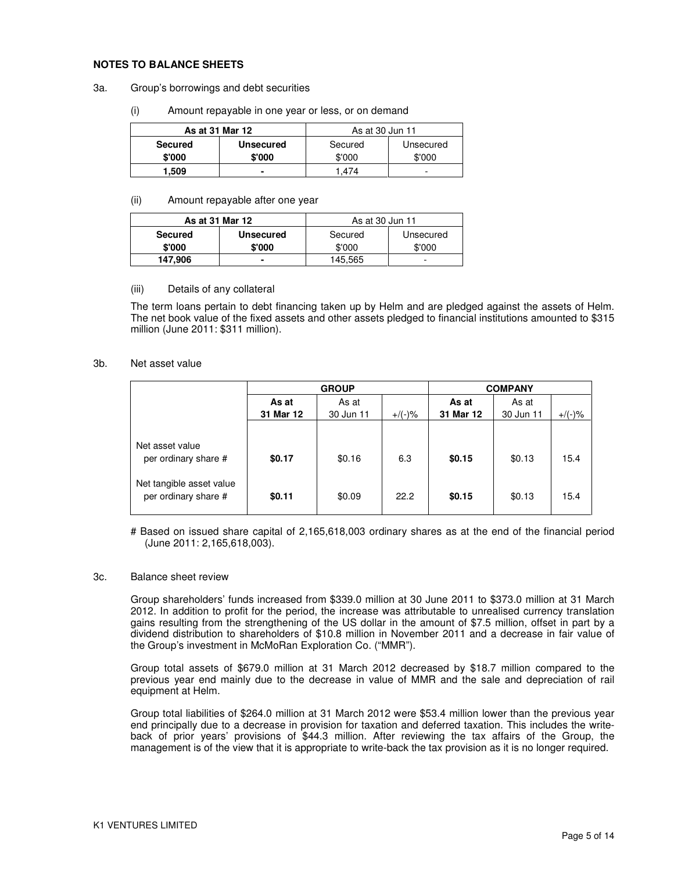#### **NOTES TO BALANCE SHEETS**

- 3a. Group's borrowings and debt securities
	- (i) Amount repayable in one year or less, or on demand

| As at 31 Mar 12 |                  | As at 30 Jun 11 |           |
|-----------------|------------------|-----------------|-----------|
| <b>Secured</b>  | <b>Unsecured</b> | Secured         | Unsecured |
| \$'000          | \$'000           | \$'000          | \$'000    |
| 1.509           |                  | .474            | -         |

#### (ii) Amount repayable after one year

|                | As at 31 Mar 12  | As at 30 Jun 11 |           |
|----------------|------------------|-----------------|-----------|
| <b>Secured</b> | <b>Unsecured</b> | Secured         | Unsecured |
| \$'000         | \$'000           | \$'000          | \$'000    |
| 147.906        |                  | 145,565         | -         |

#### (iii) Details of any collateral

The term loans pertain to debt financing taken up by Helm and are pledged against the assets of Helm. The net book value of the fixed assets and other assets pledged to financial institutions amounted to \$315 million (June 2011: \$311 million).

#### 3b. Net asset value

|                                                  | <b>GROUP</b>   |           |           |           | <b>COMPANY</b> |           |  |
|--------------------------------------------------|----------------|-----------|-----------|-----------|----------------|-----------|--|
|                                                  | As at<br>As at |           | As at     | As at     |                |           |  |
|                                                  | 31 Mar 12      | 30 Jun 11 | $+$ /(-)% | 31 Mar 12 | 30 Jun 11      | $+/(-)$ % |  |
|                                                  |                |           |           |           |                |           |  |
| Net asset value<br>per ordinary share #          | \$0.17         | \$0.16    | 6.3       | \$0.15    | \$0.13         | 15.4      |  |
| Net tangible asset value<br>per ordinary share # | \$0.11         | \$0.09    | 22.2      | \$0.15    | \$0.13         | 15.4      |  |

# Based on issued share capital of 2,165,618,003 ordinary shares as at the end of the financial period (June 2011: 2,165,618,003).

#### 3c. Balance sheet review

Group shareholders' funds increased from \$339.0 million at 30 June 2011 to \$373.0 million at 31 March 2012. In addition to profit for the period, the increase was attributable to unrealised currency translation gains resulting from the strengthening of the US dollar in the amount of \$7.5 million, offset in part by a dividend distribution to shareholders of \$10.8 million in November 2011 and a decrease in fair value of the Group's investment in McMoRan Exploration Co. ("MMR").

Group total assets of \$679.0 million at 31 March 2012 decreased by \$18.7 million compared to the previous year end mainly due to the decrease in value of MMR and the sale and depreciation of rail equipment at Helm.

Group total liabilities of \$264.0 million at 31 March 2012 were \$53.4 million lower than the previous year end principally due to a decrease in provision for taxation and deferred taxation. This includes the writeback of prior years' provisions of \$44.3 million. After reviewing the tax affairs of the Group, the management is of the view that it is appropriate to write-back the tax provision as it is no longer required.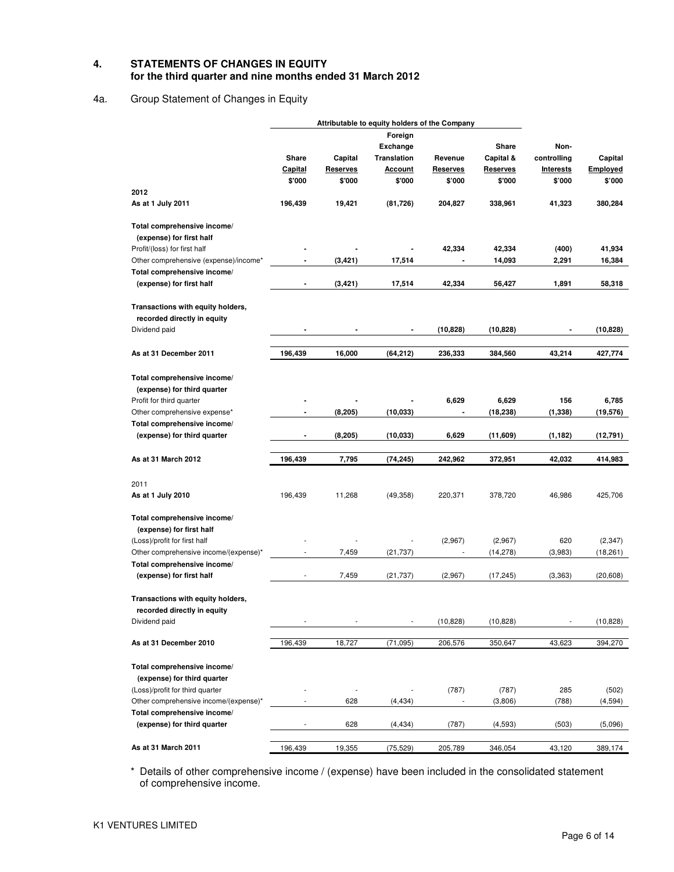## **4. STATEMENTS OF CHANGES IN EQUITY for the third quarter and nine months ended 31 March 2012**

## 4a. Group Statement of Changes in Equity

|                                                            |                          | Attributable to equity holders of the Company |                    |                          |                 |                  |           |
|------------------------------------------------------------|--------------------------|-----------------------------------------------|--------------------|--------------------------|-----------------|------------------|-----------|
|                                                            |                          |                                               | Foreign            |                          |                 |                  |           |
|                                                            |                          |                                               | <b>Exchange</b>    |                          | Share           | Non-             |           |
|                                                            | Share                    | Capital                                       | <b>Translation</b> | Revenue                  | Capital &       | controlling      | Capital   |
|                                                            | Capital                  | <b>Reserves</b>                               | <u>Account</u>     | <b>Reserves</b>          | <b>Reserves</b> | <b>Interests</b> | Employed  |
|                                                            | \$'000                   | \$'000                                        | \$'000             | \$'000                   | \$'000          | \$'000           | \$'000    |
| 2012                                                       |                          |                                               |                    |                          |                 |                  |           |
| As at 1 July 2011                                          | 196,439                  | 19,421                                        | (81, 726)          | 204,827                  | 338,961         | 41,323           | 380,284   |
| Total comprehensive income/                                |                          |                                               |                    |                          |                 |                  |           |
| (expense) for first half                                   |                          |                                               |                    |                          |                 |                  |           |
| Profit/(loss) for first half                               |                          |                                               |                    | 42,334                   | 42,334          | (400)            | 41,934    |
| Other comprehensive (expense)/income*                      |                          | (3, 421)                                      | 17,514             |                          | 14,093          | 2,291            | 16,384    |
| Total comprehensive income/                                |                          |                                               |                    |                          |                 |                  |           |
| (expense) for first half                                   | $\blacksquare$           | (3, 421)                                      | 17,514             | 42,334                   | 56,427          | 1,891            | 58,318    |
| Transactions with equity holders,                          |                          |                                               |                    |                          |                 |                  |           |
| recorded directly in equity                                |                          |                                               |                    |                          |                 |                  |           |
| Dividend paid                                              |                          |                                               |                    | (10, 828)                | (10, 828)       |                  | (10, 828) |
| As at 31 December 2011                                     | 196,439                  | 16,000                                        | (64,212)           | 236,333                  | 384,560         | 43,214           | 427,774   |
| Total comprehensive income/                                |                          |                                               |                    |                          |                 |                  |           |
| (expense) for third quarter                                |                          |                                               |                    |                          |                 |                  |           |
| Profit for third quarter                                   |                          |                                               |                    | 6,629                    | 6,629           | 156              | 6,785     |
| Other comprehensive expense*                               |                          | (8, 205)                                      | (10, 033)          |                          | (18, 238)       | (1, 338)         | (19, 576) |
| Total comprehensive income/                                |                          |                                               |                    |                          |                 |                  |           |
| (expense) for third quarter                                |                          | (8, 205)                                      | (10, 033)          | 6,629                    | (11,609)        | (1, 182)         | (12, 791) |
|                                                            |                          |                                               |                    |                          |                 |                  |           |
| As at 31 March 2012                                        | 196,439                  | 7,795                                         | (74, 245)          | 242,962                  | 372,951         | 42,032           | 414,983   |
| 2011                                                       |                          |                                               |                    |                          |                 |                  |           |
| As at 1 July 2010                                          | 196,439                  | 11,268                                        | (49, 358)          | 220,371                  | 378,720         | 46,986           | 425,706   |
| Total comprehensive income/                                |                          |                                               |                    |                          |                 |                  |           |
| (expense) for first half                                   |                          |                                               |                    |                          |                 |                  |           |
| (Loss)/profit for first half                               |                          |                                               |                    | (2,967)                  | (2,967)         | 620              | (2, 347)  |
| Other comprehensive income/(expense)*                      | ÷,                       | 7,459                                         | (21, 737)          |                          | (14, 278)       | (3,983)          | (18, 261) |
| Total comprehensive income/                                |                          |                                               |                    |                          |                 |                  |           |
| (expense) for first half                                   | $\overline{\phantom{a}}$ | 7,459                                         | (21, 737)          | (2,967)                  | (17, 245)       | (3, 363)         | (20, 608) |
| Transactions with equity holders,                          |                          |                                               |                    |                          |                 |                  |           |
| recorded directly in equity                                |                          |                                               |                    |                          |                 |                  |           |
| Dividend paid                                              |                          |                                               |                    | (10, 828)                | (10, 828)       |                  | (10, 828) |
| As at 31 December 2010                                     | 196,439                  | 18,727                                        | (71, 095)          | 206,576                  | 350,647         | 43,623           | 394,270   |
|                                                            |                          |                                               |                    |                          |                 |                  |           |
| Total comprehensive income/<br>(expense) for third quarter |                          |                                               |                    |                          |                 |                  |           |
|                                                            |                          |                                               |                    |                          |                 |                  |           |
| (Loss)/profit for third quarter                            |                          |                                               |                    | (787)                    | (787)           | 285              | (502)     |
| Other comprehensive income/(expense)*                      |                          | 628                                           | (4, 434)           | $\overline{\phantom{a}}$ | (3,806)         | (788)            | (4, 594)  |
| Total comprehensive income/                                |                          |                                               |                    |                          |                 |                  |           |
| (expense) for third quarter                                |                          | 628                                           | (4, 434)           | (787)                    | (4, 593)        | (503)            | (5,096)   |
| As at 31 March 2011                                        | 196,439                  | 19,355                                        | (75, 529)          | 205,789                  | 346,054         | 43,120           | 389,174   |

\* Details of other comprehensive income / (expense) have been included in the consolidated statement of comprehensive income.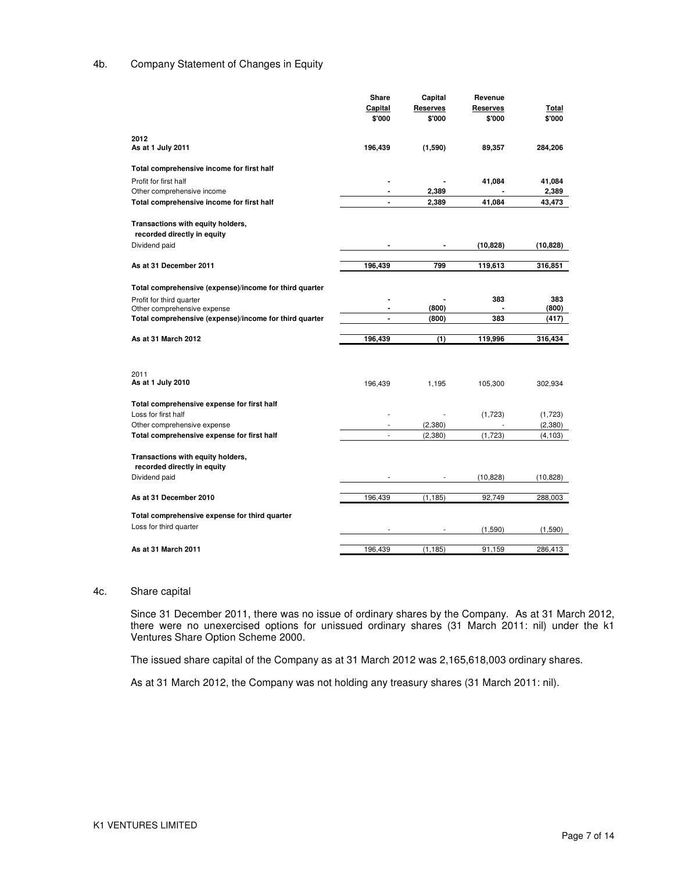## 4b. Company Statement of Changes in Equity

|                                                                           | Share          | Capital             | Revenue         |           |
|---------------------------------------------------------------------------|----------------|---------------------|-----------------|-----------|
|                                                                           | Capital        | Reserves            | <b>Reserves</b> | Total     |
|                                                                           | \$'000         | \$'000              | \$'000          | \$'000    |
|                                                                           |                |                     |                 |           |
| 2012<br>As at 1 July 2011                                                 | 196,439        | (1,590)             | 89,357          | 284,206   |
|                                                                           |                |                     |                 |           |
| Total comprehensive income for first half                                 |                |                     |                 |           |
| Profit for first half                                                     |                |                     | 41,084          | 41,084    |
| Other comprehensive income                                                |                | 2,389               |                 | 2,389     |
| Total comprehensive income for first half                                 | $\blacksquare$ | 2,389               | 41,084          | 43,473    |
|                                                                           |                |                     |                 |           |
| Transactions with equity holders,                                         |                |                     |                 |           |
| recorded directly in equity                                               |                |                     |                 |           |
| Dividend paid                                                             |                |                     | (10, 828)       | (10, 828) |
| As at 31 December 2011                                                    | 196,439        | 799                 | 119,613         | 316,851   |
|                                                                           |                |                     |                 |           |
| Total comprehensive (expense)/income for third quarter                    |                |                     |                 |           |
| Profit for third quarter                                                  |                |                     | 383             | 383       |
| Other comprehensive expense                                               |                | (800)               |                 | (800)     |
| Total comprehensive (expense)/income for third quarter                    | $\blacksquare$ | (800)               | 383             | (417)     |
|                                                                           |                |                     |                 |           |
| As at 31 March 2012                                                       | 196,439        | (1)                 | 119,996         | 316,434   |
|                                                                           |                |                     |                 |           |
|                                                                           |                |                     |                 |           |
| 2011                                                                      |                |                     |                 |           |
| As at 1 July 2010                                                         | 196,439        | 1,195               | 105,300         | 302,934   |
|                                                                           |                |                     |                 |           |
| Total comprehensive expense for first half                                |                |                     |                 |           |
| Loss for first half                                                       |                |                     | (1,723)         | (1,723)   |
| Other comprehensive expense<br>Total comprehensive expense for first half | $\frac{1}{2}$  | (2, 380)<br>(2,380) | (1,723)         | (2,380)   |
|                                                                           |                |                     |                 | (4, 103)  |
| Transactions with equity holders,                                         |                |                     |                 |           |
| recorded directly in equity                                               |                |                     |                 |           |
| Dividend paid                                                             |                |                     | (10, 828)       | (10, 828) |
|                                                                           |                |                     |                 |           |
| As at 31 December 2010                                                    | 196,439        | (1, 185)            | 92,749          | 288,003   |
|                                                                           |                |                     |                 |           |
| Total comprehensive expense for third quarter                             |                |                     |                 |           |
| Loss for third quarter                                                    |                |                     | (1,590)         | (1,590)   |
|                                                                           |                |                     |                 |           |
|                                                                           |                |                     |                 |           |

#### 4c. Share capital

Since 31 December 2011, there was no issue of ordinary shares by the Company. As at 31 March 2012, there were no unexercised options for unissued ordinary shares (31 March 2011: nil) under the k1 Ventures Share Option Scheme 2000.

The issued share capital of the Company as at 31 March 2012 was 2,165,618,003 ordinary shares.

As at 31 March 2012, the Company was not holding any treasury shares (31 March 2011: nil).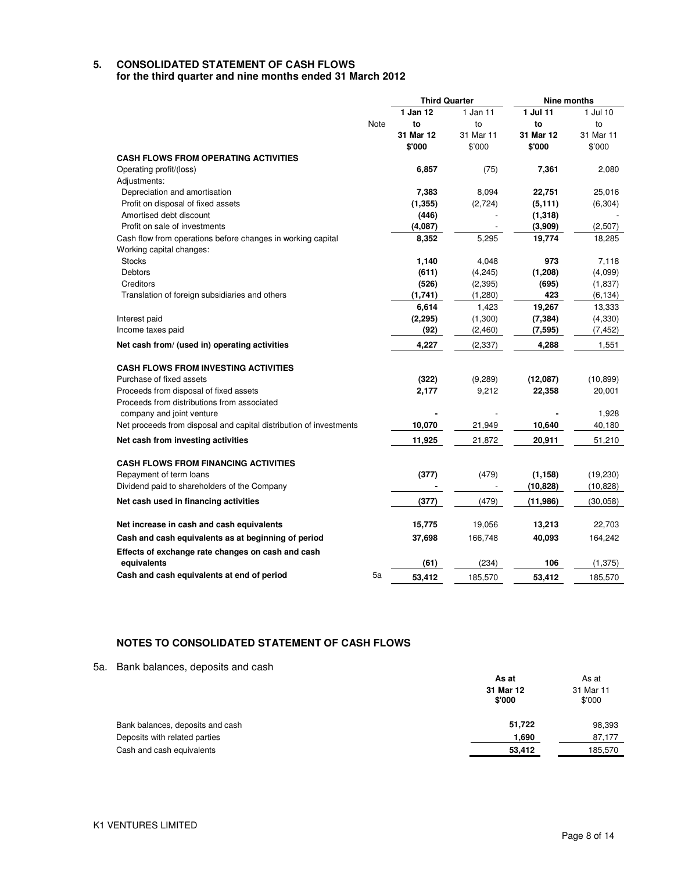#### **5. CONSOLIDATED STATEMENT OF CASH FLOWS for the third quarter and nine months ended 31 March 2012**

**Third Quarter Nine months** Note **1 Jan 12 to 31 Mar 12 \$'000**  1 Jan 11 to 31 Mar 11 \$'000 **1 Jul 11 to 31 Mar 12 \$'000**  1 Jul 10 to 31 Mar 11 \$'000 **CASH FLOWS FROM OPERATING ACTIVITIES** Operating profit/(loss) **6,857** (75) **7,361** 2,080 Adjustments: Depreciation and amortisation **7,383** 8,094 **22,751** 25,016 Profit on disposal of fixed assets **(1,355)** (2,724) **(5,111)** (6,304) Amortised debt discount **(446)** - **(1,318)** - Profit on sale of investments **(4,087)** - **(3,909)** (2,507) Cash flow from operations before changes in working capital **8,352** 5,295 **19,774** 18,285 Working capital changes: Stocks **1,140** 4,048 **973** 7,118 Debtors **(611)** (4,245) **(1,208)** (4,099) Creditors **(526)** (2,395) **(695)** (1,837) Translation of foreign subsidiaries and others **(1,741)** (1,280) **423** (6,134) **6,614** 1,423 **19,267** 13,333 Interest paid **(2,295)** (1,300) **(7,384)** (4,330) Income taxes paid **(92)** (2,460) **(7,595)** (7,452) **Net cash from/ (used in) operating activities 4,227** (2,337) **4,288** 1,551 **CASH FLOWS FROM INVESTING ACTIVITIES** Purchase of fixed assets **(322)** (9,289) **(12,087)** (10,899) Proceeds from disposal of fixed assets **2,177** 9,212 **22,358** 20,001 Proceeds from distributions from associated company and joint venture - **-**  1,928 Net proceeds from disposal and capital distribution of investments **10,070** 21,949 **10,640** 40,180 **Net cash from investing activities 11,925** 21,872 **20,911** 51,210 **CASH FLOWS FROM FINANCING ACTIVITIES** Repayment of term loans **(377)** (479) **(1,158)** (19,230) Dividend paid to shareholders of the Company **-** - **(10,828)** (10,828) **Net cash used in financing activities (377)** (479) **(11,986)** (30,058) **Net increase in cash and cash equivalents 15,775** 19,056 **13,213** 22,703 **Cash and cash equivalents as at beginning of period 37,698** 166,748 **40,093** 164,242 **Effects of exchange rate changes on cash and cash equivalents (61)** (234) **106** (1,375) **Cash and cash equivalents at end of period** 5a **53,412** 185,570 **53,412** 185,570

## **NOTES TO CONSOLIDATED STATEMENT OF CASH FLOWS**

5a. Bank balances, deposits and cash

|                                  | As at               | As at<br>31 Mar 11<br>\$'000 |  |
|----------------------------------|---------------------|------------------------------|--|
|                                  | 31 Mar 12<br>\$'000 |                              |  |
| Bank balances, deposits and cash | 51,722              | 98,393                       |  |
| Deposits with related parties    | 1,690               | 87,177                       |  |
| Cash and cash equivalents        | 53,412              | 185,570                      |  |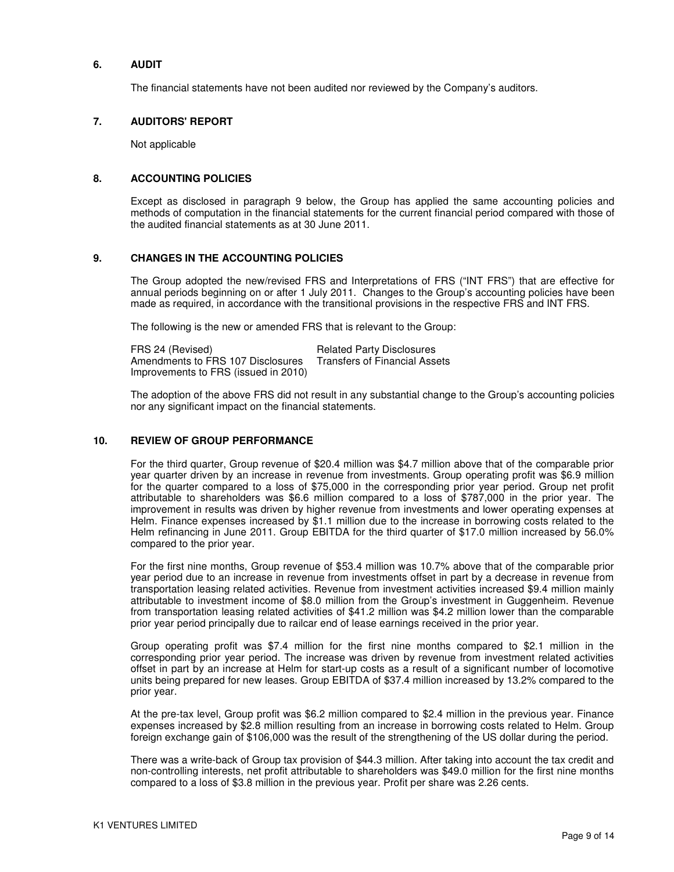### **6. AUDIT**

The financial statements have not been audited nor reviewed by the Company's auditors.

## **7. AUDITORS' REPORT**

Not applicable

## **8. ACCOUNTING POLICIES**

Except as disclosed in paragraph 9 below, the Group has applied the same accounting policies and methods of computation in the financial statements for the current financial period compared with those of the audited financial statements as at 30 June 2011.

## **9. CHANGES IN THE ACCOUNTING POLICIES**

The Group adopted the new/revised FRS and Interpretations of FRS ("INT FRS") that are effective for annual periods beginning on or after 1 July 2011. Changes to the Group's accounting policies have been made as required, in accordance with the transitional provisions in the respective FRS and INT FRS.

The following is the new or amended FRS that is relevant to the Group:

FRS 24 (Revised) FRS 24 (Revised)<br>Amendments to FRS 107 Disclosures Transfers of Financial Assets Amendments to FRS 107 Disclosures Improvements to FRS (issued in 2010)

The adoption of the above FRS did not result in any substantial change to the Group's accounting policies nor any significant impact on the financial statements.

### **10. REVIEW OF GROUP PERFORMANCE**

For the third quarter, Group revenue of \$20.4 million was \$4.7 million above that of the comparable prior year quarter driven by an increase in revenue from investments. Group operating profit was \$6.9 million for the quarter compared to a loss of \$75,000 in the corresponding prior year period. Group net profit attributable to shareholders was \$6.6 million compared to a loss of \$787,000 in the prior year. The improvement in results was driven by higher revenue from investments and lower operating expenses at Helm. Finance expenses increased by \$1.1 million due to the increase in borrowing costs related to the Helm refinancing in June 2011. Group EBITDA for the third quarter of \$17.0 million increased by 56.0% compared to the prior year.

For the first nine months, Group revenue of \$53.4 million was 10.7% above that of the comparable prior year period due to an increase in revenue from investments offset in part by a decrease in revenue from transportation leasing related activities. Revenue from investment activities increased \$9.4 million mainly attributable to investment income of \$8.0 million from the Group's investment in Guggenheim. Revenue from transportation leasing related activities of \$41.2 million was \$4.2 million lower than the comparable prior year period principally due to railcar end of lease earnings received in the prior year.

Group operating profit was \$7.4 million for the first nine months compared to \$2.1 million in the corresponding prior year period. The increase was driven by revenue from investment related activities offset in part by an increase at Helm for start-up costs as a result of a significant number of locomotive units being prepared for new leases. Group EBITDA of \$37.4 million increased by 13.2% compared to the prior year.

At the pre-tax level, Group profit was \$6.2 million compared to \$2.4 million in the previous year. Finance expenses increased by \$2.8 million resulting from an increase in borrowing costs related to Helm. Group foreign exchange gain of \$106,000 was the result of the strengthening of the US dollar during the period.

There was a write-back of Group tax provision of \$44.3 million. After taking into account the tax credit and non-controlling interests, net profit attributable to shareholders was \$49.0 million for the first nine months compared to a loss of \$3.8 million in the previous year. Profit per share was 2.26 cents.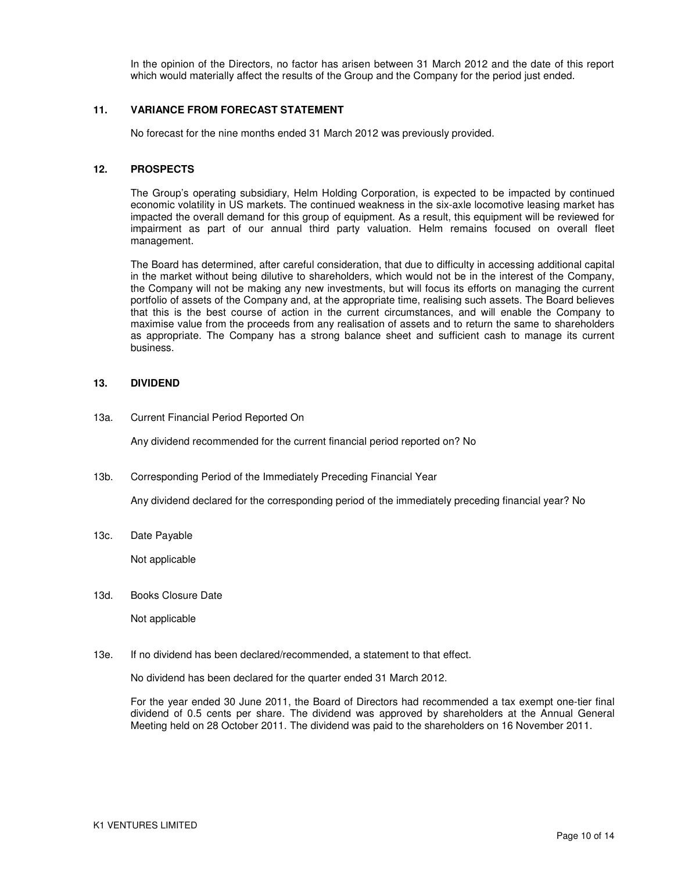In the opinion of the Directors, no factor has arisen between 31 March 2012 and the date of this report which would materially affect the results of the Group and the Company for the period just ended.

## **11. VARIANCE FROM FORECAST STATEMENT**

No forecast for the nine months ended 31 March 2012 was previously provided.

#### **12. PROSPECTS**

The Group's operating subsidiary, Helm Holding Corporation, is expected to be impacted by continued economic volatility in US markets. The continued weakness in the six-axle locomotive leasing market has impacted the overall demand for this group of equipment. As a result, this equipment will be reviewed for impairment as part of our annual third party valuation. Helm remains focused on overall fleet management.

The Board has determined, after careful consideration, that due to difficulty in accessing additional capital in the market without being dilutive to shareholders, which would not be in the interest of the Company, the Company will not be making any new investments, but will focus its efforts on managing the current portfolio of assets of the Company and, at the appropriate time, realising such assets. The Board believes that this is the best course of action in the current circumstances, and will enable the Company to maximise value from the proceeds from any realisation of assets and to return the same to shareholders as appropriate. The Company has a strong balance sheet and sufficient cash to manage its current business.

#### **13. DIVIDEND**

13a. Current Financial Period Reported On

Any dividend recommended for the current financial period reported on? No

13b. Corresponding Period of the Immediately Preceding Financial Year

Any dividend declared for the corresponding period of the immediately preceding financial year? No

13c. Date Payable

Not applicable

13d. Books Closure Date

Not applicable

13e. If no dividend has been declared/recommended, a statement to that effect.

No dividend has been declared for the quarter ended 31 March 2012.

For the year ended 30 June 2011, the Board of Directors had recommended a tax exempt one-tier final dividend of 0.5 cents per share. The dividend was approved by shareholders at the Annual General Meeting held on 28 October 2011. The dividend was paid to the shareholders on 16 November 2011.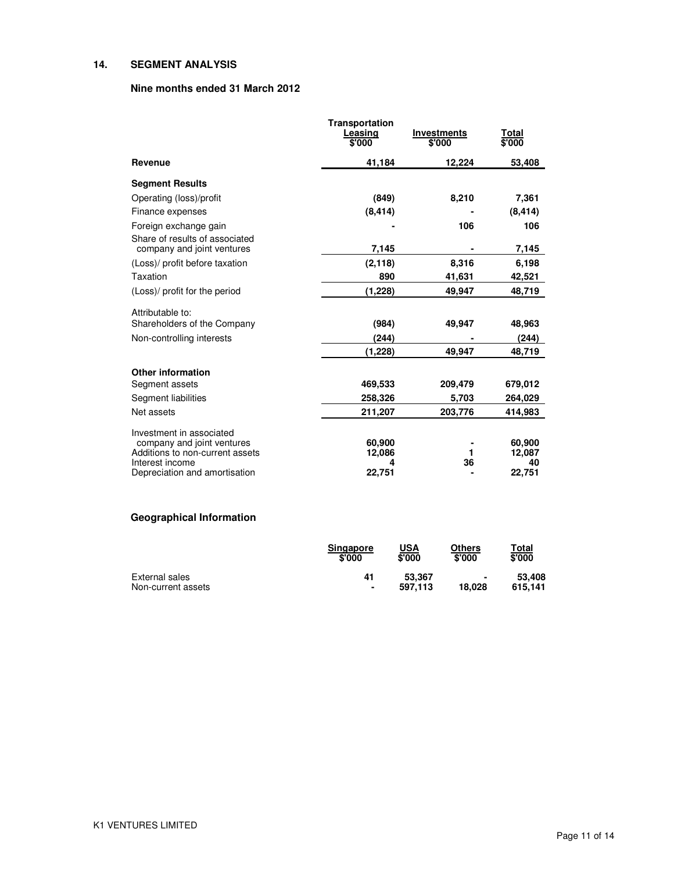## **14. SEGMENT ANALYSIS**

## **Nine months ended 31 March 2012**

| <b>Transportation</b><br>Leasing<br>\$'000 | <b>Investments</b><br>\$'000                   | <u>Total</u><br>\$'000 |
|--------------------------------------------|------------------------------------------------|------------------------|
| 41,184                                     | 12,224                                         | 53,408                 |
|                                            |                                                |                        |
| (849)                                      | 8,210                                          | 7,361                  |
| (8, 414)                                   |                                                | (8, 414)               |
|                                            | 106                                            | 106                    |
|                                            |                                                |                        |
|                                            |                                                | 7,145                  |
|                                            |                                                | 6,198                  |
|                                            |                                                | 42,521                 |
|                                            | 49,947                                         | 48,719                 |
|                                            |                                                |                        |
| (984)                                      | 49,947                                         | 48,963                 |
| (244)                                      |                                                | (244)                  |
| (1,228)                                    | 49,947                                         | 48,719                 |
|                                            |                                                |                        |
| 469,533                                    | 209,479                                        | 679,012                |
| 258,326                                    | 5,703                                          | 264,029                |
| 211,207                                    | 203,776                                        | 414,983                |
|                                            |                                                |                        |
| 60,900                                     |                                                | 60,900                 |
| 12,086                                     | 1                                              | 12,087                 |
|                                            |                                                | 40<br>22,751           |
|                                            | 7,145<br>(2, 118)<br>890<br>(1, 228)<br>22,751 | 8,316<br>41,631<br>36  |

# **Geographical Information**

|                    | <b>Singapore</b> | <b>USA</b> | Others | Total   |
|--------------------|------------------|------------|--------|---------|
|                    | \$'000           | \$'000     | \$'000 | \$'000  |
| External sales     | 41               | 53.367     | ٠      | 53,408  |
| Non-current assets | ٠                | 597.113    | 18.028 | 615.141 |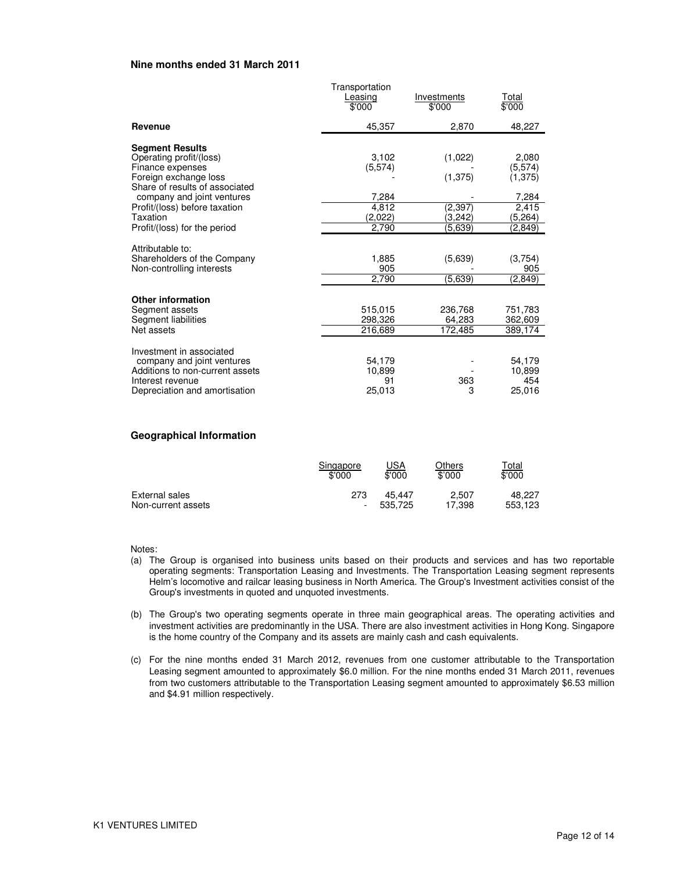#### **Nine months ended 31 March 2011**

|                                                                                                                                                | Transportation<br>Leasing<br>\$'000 | Investments<br>\$'000          | Total<br>\$'000                       |
|------------------------------------------------------------------------------------------------------------------------------------------------|-------------------------------------|--------------------------------|---------------------------------------|
| Revenue                                                                                                                                        | 45,357                              | 2,870                          | 48,227                                |
| <b>Segment Results</b><br>Operating profit/(loss)<br>Finance expenses<br>Foreign exchange loss<br>Share of results of associated               | 3,102<br>(5,574)                    | (1,022)<br>(1, 375)            | 2,080<br>(5,574)<br>(1, 375)          |
| company and joint ventures<br>Profit/(loss) before taxation<br>Taxation<br>Profit/(loss) for the period                                        | 7,284<br>4,812<br>(2,022)<br>2,790  | (2, 397)<br>(3,242)<br>(5,639) | 7,284<br>2,415<br>(5, 264)<br>(2,849) |
| Attributable to:<br>Shareholders of the Company<br>Non-controlling interests                                                                   | 1,885<br>905<br>2,790               | (5,639)<br>(5,639)             | (3,754)<br>905<br>(2,849)             |
| <b>Other information</b><br>Segment assets<br>Segment liabilities<br>Net assets                                                                | 515,015<br>298,326<br>216,689       | 236,768<br>64.283<br>172,485   | 751,783<br>362,609<br>389,174         |
| Investment in associated<br>company and joint ventures<br>Additions to non-current assets<br>Interest revenue<br>Depreciation and amortisation | 54,179<br>10,899<br>91<br>25,013    | 363<br>3                       | 54,179<br>10,899<br>454<br>25,016     |

### **Geographical Information**

|                    | Singapore<br>\$'000 | <u>USA</u><br>\$'000 | Others<br>\$'000 | <u>Total</u><br>\$'000 |
|--------------------|---------------------|----------------------|------------------|------------------------|
| External sales     | 273                 | 45.447               | 2.507            | 48.227                 |
| Non-current assets |                     | 535.725              | 17.398           | 553.123                |

Notes:

- (a) The Group is organised into business units based on their products and services and has two reportable operating segments: Transportation Leasing and Investments. The Transportation Leasing segment represents Helm's locomotive and railcar leasing business in North America. The Group's Investment activities consist of the Group's investments in quoted and unquoted investments.
- (b) The Group's two operating segments operate in three main geographical areas. The operating activities and investment activities are predominantly in the USA. There are also investment activities in Hong Kong. Singapore is the home country of the Company and its assets are mainly cash and cash equivalents.
- (c) For the nine months ended 31 March 2012, revenues from one customer attributable to the Transportation Leasing segment amounted to approximately \$6.0 million. For the nine months ended 31 March 2011, revenues from two customers attributable to the Transportation Leasing segment amounted to approximately \$6.53 million and \$4.91 million respectively.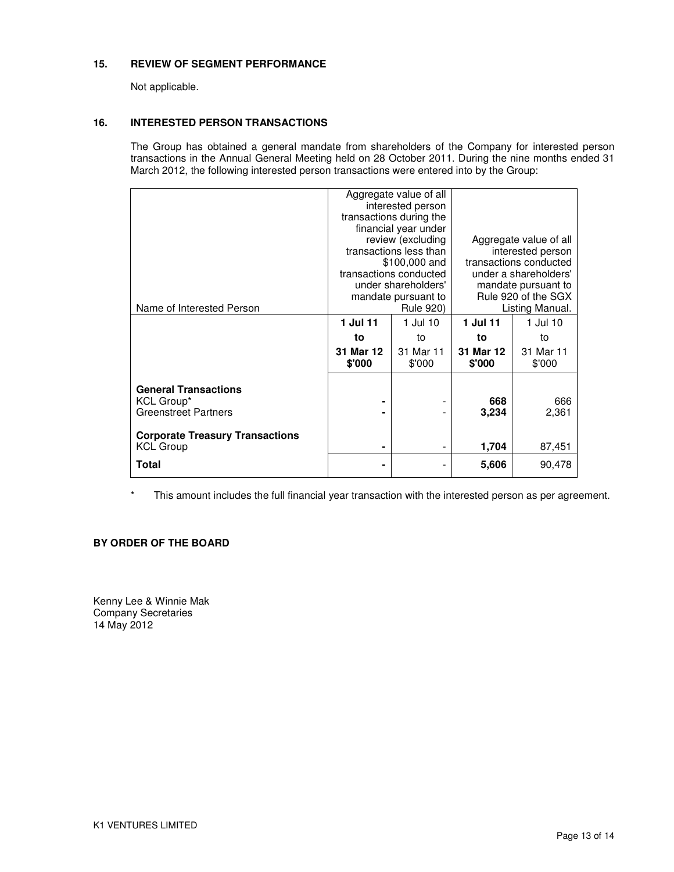## **15. REVIEW OF SEGMENT PERFORMANCE**

Not applicable.

## **16. INTERESTED PERSON TRANSACTIONS**

The Group has obtained a general mandate from shareholders of the Company for interested person transactions in the Annual General Meeting held on 28 October 2011. During the nine months ended 31 March 2012, the following interested person transactions were entered into by the Group:

|                                        |                         | Aggregate value of all |                                                                      |                 |
|----------------------------------------|-------------------------|------------------------|----------------------------------------------------------------------|-----------------|
|                                        |                         | interested person      |                                                                      |                 |
|                                        | transactions during the |                        |                                                                      |                 |
|                                        |                         | financial year under   |                                                                      |                 |
|                                        |                         | review (excluding      | Aggregate value of all                                               |                 |
|                                        |                         | transactions less than | interested person<br>transactions conducted<br>under a shareholders' |                 |
|                                        |                         | \$100,000 and          |                                                                      |                 |
|                                        |                         | transactions conducted |                                                                      |                 |
|                                        |                         | under shareholders'    | mandate pursuant to                                                  |                 |
|                                        |                         | mandate pursuant to    | Rule 920 of the SGX                                                  |                 |
| Name of Interested Person              |                         | Rule 920)              |                                                                      | Listing Manual. |
|                                        | 1 Jul 11                | 1 Jul 10               | 1 Jul 11                                                             | 1 Jul 10        |
|                                        | to                      | to                     | to                                                                   | to              |
|                                        | 31 Mar 12               | 31 Mar 11              | 31 Mar 12                                                            | 31 Mar 11       |
|                                        | \$'000                  | \$'000                 | \$'000                                                               | \$'000          |
|                                        |                         |                        |                                                                      |                 |
| <b>General Transactions</b>            |                         |                        |                                                                      |                 |
| KCL Group*                             |                         |                        | 668                                                                  | 666             |
| <b>Greenstreet Partners</b>            |                         |                        | 3,234                                                                | 2,361           |
|                                        |                         |                        |                                                                      |                 |
| <b>Corporate Treasury Transactions</b> |                         |                        |                                                                      |                 |
| <b>KCL Group</b>                       | ۰                       |                        | 1,704                                                                | 87,451          |
| Total                                  | ۰                       |                        | 5,606                                                                | 90,478          |
|                                        |                         |                        |                                                                      |                 |
|                                        |                         |                        |                                                                      |                 |

\* This amount includes the full financial year transaction with the interested person as per agreement.

## **BY ORDER OF THE BOARD**

Kenny Lee & Winnie Mak Company Secretaries 14 May 2012